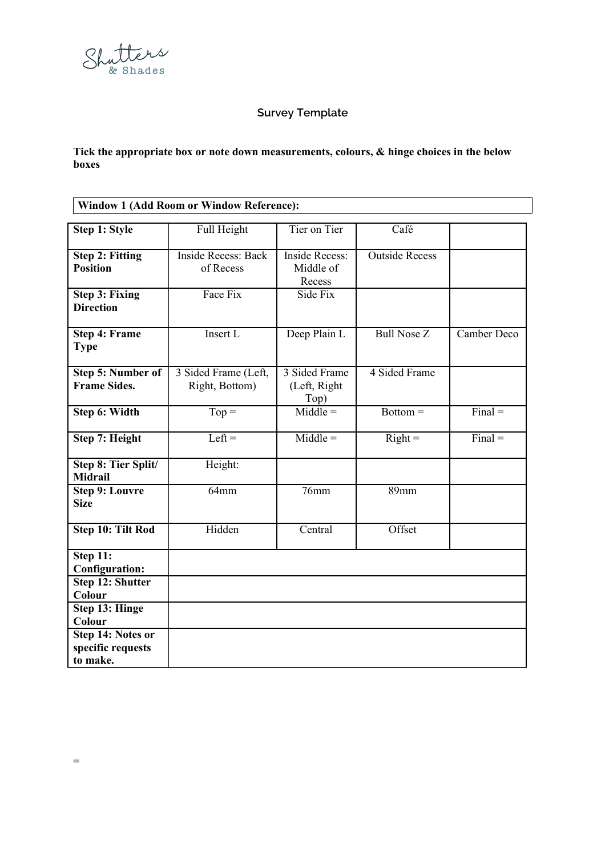

## **Survey Template**

**Tick the appropriate box or note down measurements, colours, & hinge choices in the below boxes**

| Window 1 (Add Room or Window Reference):  |                                         |                                              |                       |             |
|-------------------------------------------|-----------------------------------------|----------------------------------------------|-----------------------|-------------|
|                                           |                                         |                                              |                       |             |
| Step 1: Style                             | Full Height                             | Tier on Tier                                 | Café                  |             |
| <b>Step 2: Fitting</b><br><b>Position</b> | <b>Inside Recess: Back</b><br>of Recess | <b>Inside Recess:</b><br>Middle of<br>Recess | <b>Outside Recess</b> |             |
| <b>Step 3: Fixing</b><br><b>Direction</b> | Face Fix                                | Side Fix                                     |                       |             |
| <b>Step 4: Frame</b><br><b>Type</b>       | Insert L                                | Deep Plain L                                 | <b>Bull Nose Z</b>    | Camber Deco |
| Step 5: Number of<br><b>Frame Sides.</b>  | 3 Sided Frame (Left,<br>Right, Bottom)  | 3 Sided Frame<br>(Left, Right<br>Top)        | 4 Sided Frame         |             |
| Step 6: Width                             | $Top =$                                 | $Middle =$                                   | $Bottom =$            | $Final =$   |
| Step 7: Height                            | $Left =$                                | $Middle =$                                   | $Right =$             | $Final =$   |
| Step 8: Tier Split/<br><b>Midrail</b>     | Height:                                 |                                              |                       |             |
| <b>Step 9: Louvre</b><br><b>Size</b>      | 64mm                                    | 76mm                                         | 89mm                  |             |
| Step 10: Tilt Rod                         | Hidden                                  | Central                                      | Offset                |             |
| Step 11:<br><b>Configuration:</b>         |                                         |                                              |                       |             |
| Step 12: Shutter<br>Colour                |                                         |                                              |                       |             |
| <b>Step 13: Hinge</b><br>Colour           |                                         |                                              |                       |             |

**Step 14: Notes or specific requests** 

**to make.**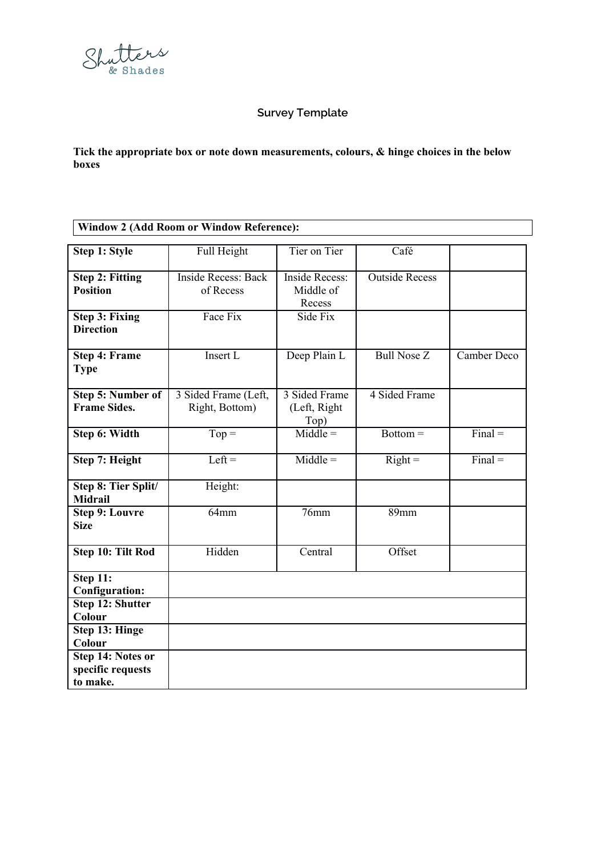

## **Survey Template**

**Tick the appropriate box or note down measurements, colours, & hinge choices in the below boxes**

| Window 2 (Add Room or Window Reference): |  |
|------------------------------------------|--|

| <b>Step 1: Style</b>                               | Full Height                             | Tier on Tier                                 | Café                  |                             |
|----------------------------------------------------|-----------------------------------------|----------------------------------------------|-----------------------|-----------------------------|
| <b>Step 2: Fitting</b><br><b>Position</b>          | <b>Inside Recess: Back</b><br>of Recess | <b>Inside Recess:</b><br>Middle of<br>Recess | <b>Outside Recess</b> |                             |
| <b>Step 3: Fixing</b><br><b>Direction</b>          | Face Fix                                | Side Fix                                     |                       |                             |
| <b>Step 4: Frame</b><br><b>Type</b>                | Insert L                                | Deep Plain L                                 | <b>Bull Nose Z</b>    | Camber Deco                 |
| <b>Step 5: Number of</b><br><b>Frame Sides.</b>    | 3 Sided Frame (Left,<br>Right, Bottom)  | 3 Sided Frame<br>(Left, Right<br>Top)        | 4 Sided Frame         |                             |
| Step 6: Width                                      | $\overline{\text{Top}} =$               | $\overline{\text{Middle}}$ =                 | $Bottom =$            | $\overline{\text{Final}}$ = |
| Step 7: Height                                     | $Left =$                                | $Middle =$                                   | $Right =$             | $Final =$                   |
| Step 8: Tier Split/<br><b>Midrail</b>              | Height:                                 |                                              |                       |                             |
| <b>Step 9: Louvre</b><br><b>Size</b>               | 64mm                                    | 76mm                                         | 89mm                  |                             |
| <b>Step 10: Tilt Rod</b>                           | Hidden                                  | Central                                      | Offset                |                             |
| Step 11:<br><b>Configuration:</b>                  |                                         |                                              |                       |                             |
| Step 12: Shutter<br>Colour                         |                                         |                                              |                       |                             |
| <b>Step 13: Hinge</b><br>Colour                    |                                         |                                              |                       |                             |
| Step 14: Notes or<br>specific requests<br>to make. |                                         |                                              |                       |                             |